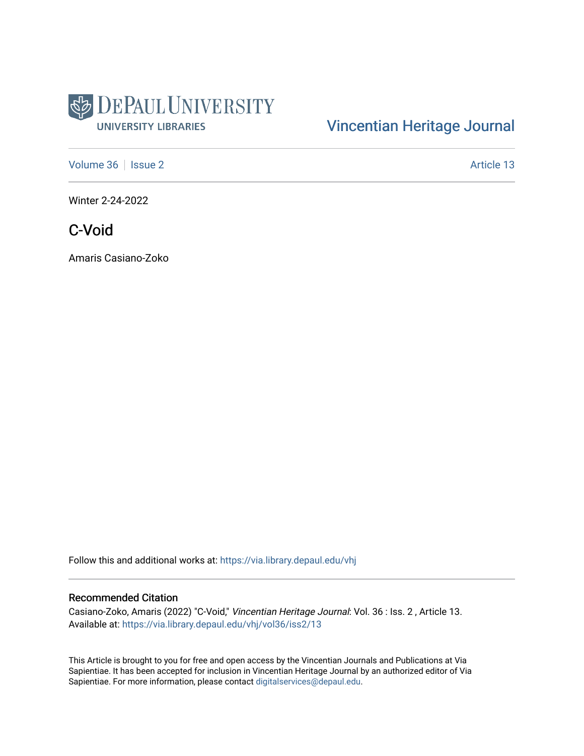

## [Vincentian Heritage Journal](https://via.library.depaul.edu/vhj)

[Volume 36](https://via.library.depaul.edu/vhj/vol36) | [Issue 2](https://via.library.depaul.edu/vhj/vol36/iss2) Article 13

Winter 2-24-2022

C-Void

Amaris Casiano-Zoko

Follow this and additional works at: [https://via.library.depaul.edu/vhj](https://via.library.depaul.edu/vhj?utm_source=via.library.depaul.edu%2Fvhj%2Fvol36%2Fiss2%2F13&utm_medium=PDF&utm_campaign=PDFCoverPages) 

## Recommended Citation

Casiano-Zoko, Amaris (2022) "C-Void," Vincentian Heritage Journal: Vol. 36 : Iss. 2 , Article 13. Available at: [https://via.library.depaul.edu/vhj/vol36/iss2/13](https://via.library.depaul.edu/vhj/vol36/iss2/13?utm_source=via.library.depaul.edu%2Fvhj%2Fvol36%2Fiss2%2F13&utm_medium=PDF&utm_campaign=PDFCoverPages)

This Article is brought to you for free and open access by the Vincentian Journals and Publications at Via Sapientiae. It has been accepted for inclusion in Vincentian Heritage Journal by an authorized editor of Via Sapientiae. For more information, please contact [digitalservices@depaul.edu](mailto:digitalservices@depaul.edu).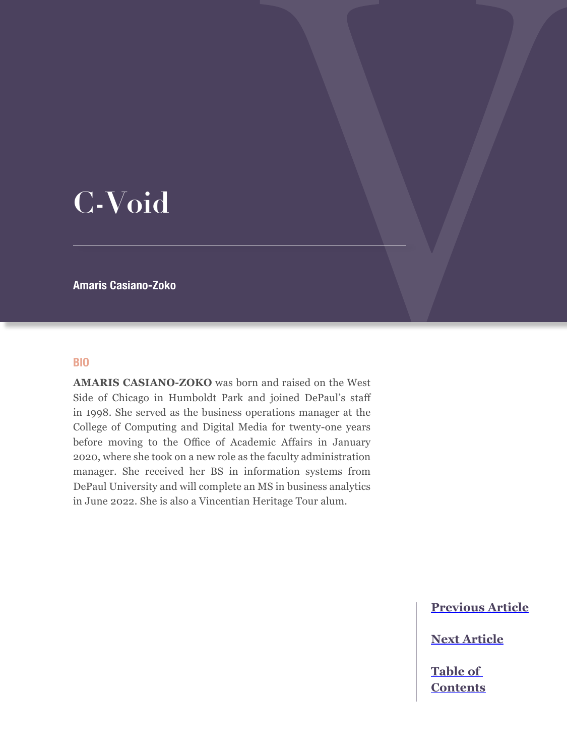## **C-Void**

**Amaris Casiano-Zoko**

## **BIO**

**AMARIS CASIANO-ZOKO** was born and raised on the West Side of Chicago in Humboldt Park and joined DePaul's staff in 1998. She served as the business operations manager at the College of Computing and Digital Media for twenty-one years before moving to the Office of Academic Affairs in January 2020, where she took on a new role as the faculty administration manager. She received her BS in information systems from DePaul University and will complete an MS in business analytics in June 2022. She is also a Vincentian Heritage Tour alum.

**[Previous Article](#page--1-0)**

**[Next Article](#page--1-0)**

**[Table of](#page--1-0)  [Contents](#page--1-0)**